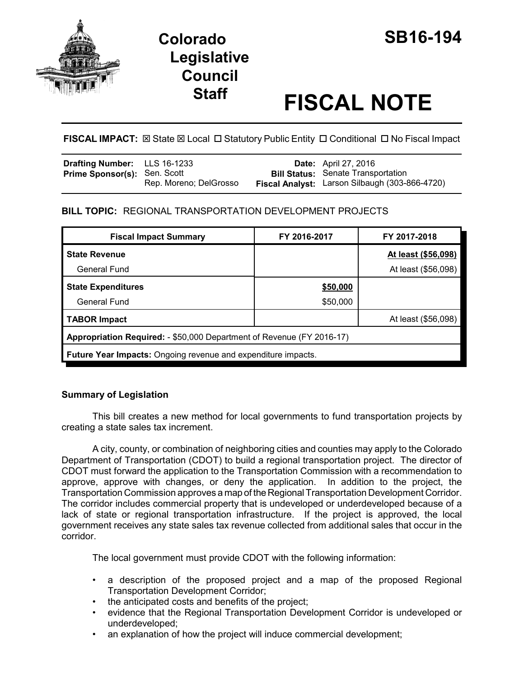

# **Colorado SB16-194 Legislative Council**

# **Staff FISCAL NOTE**

# FISCAL IMPACT:  $\boxtimes$  State  $\boxtimes$  Local  $\Box$  Statutory Public Entity  $\Box$  Conditional  $\Box$  No Fiscal Impact

| <b>Drafting Number:</b> LLS 16-1233 |                        | <b>Date:</b> April 27, 2016                    |
|-------------------------------------|------------------------|------------------------------------------------|
| <b>Prime Sponsor(s): Sen. Scott</b> |                        | <b>Bill Status:</b> Senate Transportation      |
|                                     | Rep. Moreno; DelGrosso | Fiscal Analyst: Larson Silbaugh (303-866-4720) |

## **BILL TOPIC:** REGIONAL TRANSPORTATION DEVELOPMENT PROJECTS

| <b>Fiscal Impact Summary</b>                                          | FY 2016-2017 | FY 2017-2018        |  |  |  |  |
|-----------------------------------------------------------------------|--------------|---------------------|--|--|--|--|
| <b>State Revenue</b>                                                  |              | At least (\$56,098) |  |  |  |  |
| General Fund                                                          |              | At least (\$56,098) |  |  |  |  |
| <b>State Expenditures</b>                                             | \$50,000     |                     |  |  |  |  |
| <b>General Fund</b>                                                   | \$50,000     |                     |  |  |  |  |
| <b>TABOR Impact</b>                                                   |              | At least (\$56,098) |  |  |  |  |
| Appropriation Required: - \$50,000 Department of Revenue (FY 2016-17) |              |                     |  |  |  |  |
| <b>Future Year Impacts:</b> Ongoing revenue and expenditure impacts.  |              |                     |  |  |  |  |

## **Summary of Legislation**

This bill creates a new method for local governments to fund transportation projects by creating a state sales tax increment.

A city, county, or combination of neighboring cities and counties may apply to the Colorado Department of Transportation (CDOT) to build a regional transportation project. The director of CDOT must forward the application to the Transportation Commission with a recommendation to approve, approve with changes, or deny the application. In addition to the project, the Transportation Commission approves a map of the Regional Transportation Development Corridor. The corridor includes commercial property that is undeveloped or underdeveloped because of a lack of state or regional transportation infrastructure. If the project is approved, the local government receives any state sales tax revenue collected from additional sales that occur in the corridor.

The local government must provide CDOT with the following information:

- a description of the proposed project and a map of the proposed Regional Transportation Development Corridor;
- the anticipated costs and benefits of the project;
- evidence that the Regional Transportation Development Corridor is undeveloped or underdeveloped;
- an explanation of how the project will induce commercial development;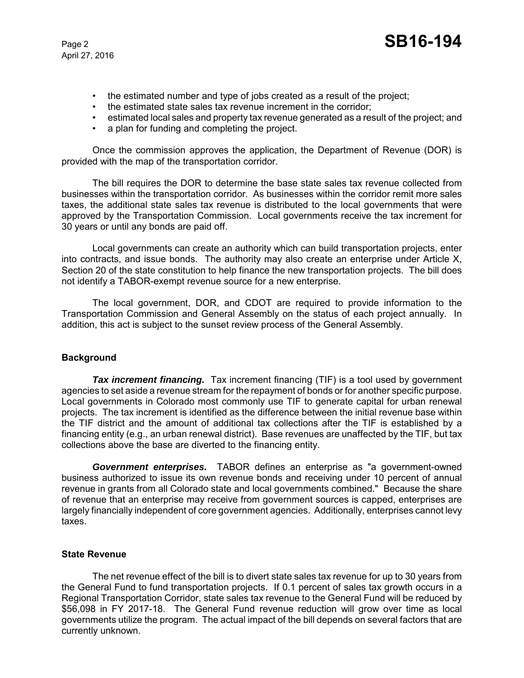- the estimated number and type of jobs created as a result of the project;
- the estimated state sales tax revenue increment in the corridor;
- estimated local sales and property tax revenue generated as a result of the project; and
- a plan for funding and completing the project.

Once the commission approves the application, the Department of Revenue (DOR) is provided with the map of the transportation corridor.

The bill requires the DOR to determine the base state sales tax revenue collected from businesses within the transportation corridor. As businesses within the corridor remit more sales taxes, the additional state sales tax revenue is distributed to the local governments that were approved by the Transportation Commission. Local governments receive the tax increment for 30 years or until any bonds are paid off.

Local governments can create an authority which can build transportation projects, enter into contracts, and issue bonds. The authority may also create an enterprise under Article X, Section 20 of the state constitution to help finance the new transportation projects. The bill does not identify a TABOR-exempt revenue source for a new enterprise.

The local government, DOR, and CDOT are required to provide information to the Transportation Commission and General Assembly on the status of each project annually. In addition, this act is subject to the sunset review process of the General Assembly.

#### **Background**

**Tax increment financing.** Tax increment financing (TIF) is a tool used by government agencies to set aside a revenue stream for the repayment of bonds or for another specific purpose. Local governments in Colorado most commonly use TIF to generate capital for urban renewal projects. The tax increment is identified as the difference between the initial revenue base within the TIF district and the amount of additional tax collections after the TIF is established by a financing entity (e.g., an urban renewal district). Base revenues are unaffected by the TIF, but tax collections above the base are diverted to the financing entity.

*Government enterprises.* TABOR defines an enterprise as "a government-owned business authorized to issue its own revenue bonds and receiving under 10 percent of annual revenue in grants from all Colorado state and local governments combined." Because the share of revenue that an enterprise may receive from government sources is capped, enterprises are largely financially independent of core government agencies. Additionally, enterprises cannot levy taxes.

#### **State Revenue**

The net revenue effect of the bill is to divert state sales tax revenue for up to 30 years from the General Fund to fund transportation projects. If 0.1 percent of sales tax growth occurs in a Regional Transportation Corridor, state sales tax revenue to the General Fund will be reduced by \$56,098 in FY 2017-18. The General Fund revenue reduction will grow over time as local governments utilize the program. The actual impact of the bill depends on several factors that are currently unknown.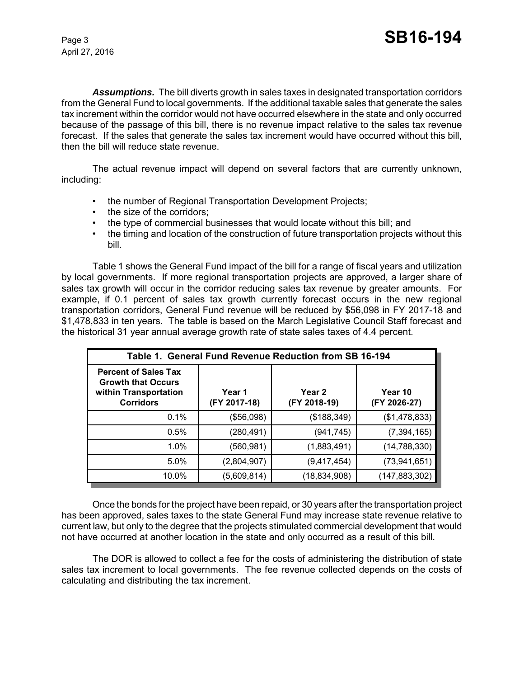*Assumptions.* The bill diverts growth in sales taxes in designated transportation corridors from the General Fund to local governments. If the additional taxable sales that generate the sales tax increment within the corridor would not have occurred elsewhere in the state and only occurred because of the passage of this bill, there is no revenue impact relative to the sales tax revenue forecast. If the sales that generate the sales tax increment would have occurred without this bill, then the bill will reduce state revenue.

The actual revenue impact will depend on several factors that are currently unknown, including:

- the number of Regional Transportation Development Projects;
- the size of the corridors;
- the type of commercial businesses that would locate without this bill; and
- the timing and location of the construction of future transportation projects without this bill.

Table 1 shows the General Fund impact of the bill for a range of fiscal years and utilization by local governments. If more regional transportation projects are approved, a larger share of sales tax growth will occur in the corridor reducing sales tax revenue by greater amounts. For example, if 0.1 percent of sales tax growth currently forecast occurs in the new regional transportation corridors, General Fund revenue will be reduced by \$56,098 in FY 2017-18 and \$1,478,833 in ten years. The table is based on the March Legislative Council Staff forecast and the historical 31 year annual average growth rate of state sales taxes of 4.4 percent.

| Table 1. General Fund Revenue Reduction from SB 16-194                                                |                        |                        |                         |  |  |  |
|-------------------------------------------------------------------------------------------------------|------------------------|------------------------|-------------------------|--|--|--|
| <b>Percent of Sales Tax</b><br><b>Growth that Occurs</b><br>within Transportation<br><b>Corridors</b> | Year 1<br>(FY 2017-18) | Year 2<br>(FY 2018-19) | Year 10<br>(FY 2026-27) |  |  |  |
| 0.1%                                                                                                  | (\$56,098)             | (\$188,349)            | (\$1,478,833)           |  |  |  |
| 0.5%                                                                                                  | (280, 491)             | (941,745)              | (7, 394, 165)           |  |  |  |
| 1.0%                                                                                                  | (560,981)              | (1,883,491)            | (14,788,330)            |  |  |  |
| 5.0%                                                                                                  | (2,804,907)            | (9,417,454)            | (73, 941, 651)          |  |  |  |
| 10.0%                                                                                                 | (5,609,814)            | (18,834,908)           | (147,883,302)           |  |  |  |

Once the bonds for the project have been repaid, or 30 years after the transportation project has been approved, sales taxes to the state General Fund may increase state revenue relative to current law, but only to the degree that the projects stimulated commercial development that would not have occurred at another location in the state and only occurred as a result of this bill.

The DOR is allowed to collect a fee for the costs of administering the distribution of state sales tax increment to local governments. The fee revenue collected depends on the costs of calculating and distributing the tax increment.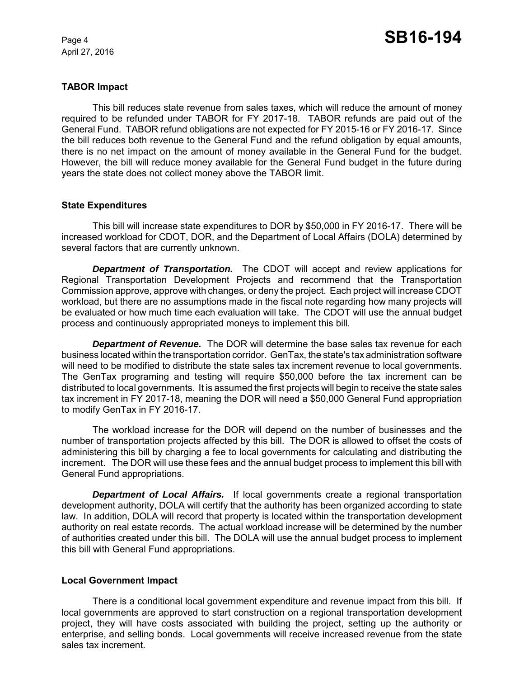#### **TABOR Impact**

This bill reduces state revenue from sales taxes, which will reduce the amount of money required to be refunded under TABOR for FY 2017-18. TABOR refunds are paid out of the General Fund. TABOR refund obligations are not expected for FY 2015-16 or FY 2016-17. Since the bill reduces both revenue to the General Fund and the refund obligation by equal amounts, there is no net impact on the amount of money available in the General Fund for the budget. However, the bill will reduce money available for the General Fund budget in the future during years the state does not collect money above the TABOR limit.

#### **State Expenditures**

This bill will increase state expenditures to DOR by \$50,000 in FY 2016-17. There will be increased workload for CDOT, DOR, and the Department of Local Affairs (DOLA) determined by several factors that are currently unknown.

*Department of Transportation.* The CDOT will accept and review applications for Regional Transportation Development Projects and recommend that the Transportation Commission approve, approve with changes, or deny the project. Each project will increase CDOT workload, but there are no assumptions made in the fiscal note regarding how many projects will be evaluated or how much time each evaluation will take. The CDOT will use the annual budget process and continuously appropriated moneys to implement this bill.

*Department of Revenue.* The DOR will determine the base sales tax revenue for each business located within the transportation corridor. GenTax, the state's tax administration software will need to be modified to distribute the state sales tax increment revenue to local governments. The GenTax programing and testing will require \$50,000 before the tax increment can be distributed to local governments. It is assumed the first projects will begin to receive the state sales tax increment in FY 2017-18, meaning the DOR will need a \$50,000 General Fund appropriation to modify GenTax in FY 2016-17.

The workload increase for the DOR will depend on the number of businesses and the number of transportation projects affected by this bill. The DOR is allowed to offset the costs of administering this bill by charging a fee to local governments for calculating and distributing the increment. The DOR will use these fees and the annual budget process to implement this bill with General Fund appropriations.

*Department of Local Affairs.* If local governments create a regional transportation development authority, DOLA will certify that the authority has been organized according to state law. In addition, DOLA will record that property is located within the transportation development authority on real estate records. The actual workload increase will be determined by the number of authorities created under this bill. The DOLA will use the annual budget process to implement this bill with General Fund appropriations.

#### **Local Government Impact**

There is a conditional local government expenditure and revenue impact from this bill. If local governments are approved to start construction on a regional transportation development project, they will have costs associated with building the project, setting up the authority or enterprise, and selling bonds. Local governments will receive increased revenue from the state sales tax increment.